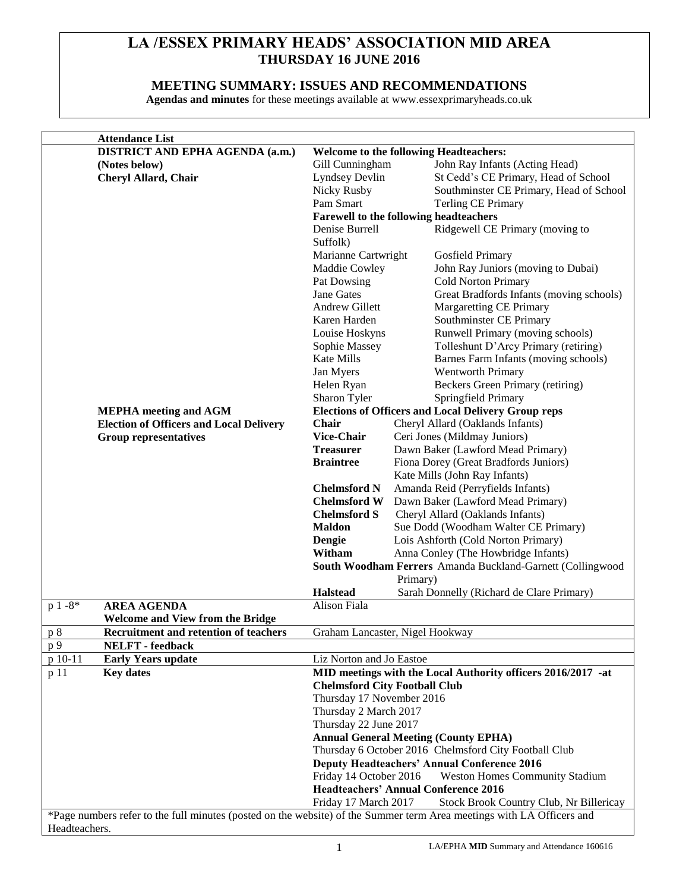# **LA /ESSEX PRIMARY HEADS' ASSOCIATION MID AREA THURSDAY 16 JUNE 2016**

## **MEETING SUMMARY: ISSUES AND RECOMMENDATIONS**

**Agendas and minutes** for these meetings available at www.essexprimaryheads.co.uk

|               | <b>Attendance List</b>                                                                                                |                                                                 |                                                                                                   |  |
|---------------|-----------------------------------------------------------------------------------------------------------------------|-----------------------------------------------------------------|---------------------------------------------------------------------------------------------------|--|
|               | <b>DISTRICT AND EPHA AGENDA (a.m.)</b>                                                                                |                                                                 | <b>Welcome to the following Headteachers:</b>                                                     |  |
|               | (Notes below)                                                                                                         | Gill Cunningham                                                 | John Ray Infants (Acting Head)                                                                    |  |
|               | <b>Cheryl Allard, Chair</b>                                                                                           | Lyndsey Devlin                                                  | St Cedd's CE Primary, Head of School                                                              |  |
|               |                                                                                                                       | Nicky Rusby                                                     | Southminster CE Primary, Head of School                                                           |  |
|               |                                                                                                                       | Pam Smart                                                       | <b>Terling CE Primary</b>                                                                         |  |
|               |                                                                                                                       |                                                                 | Farewell to the following headteachers                                                            |  |
|               |                                                                                                                       | Denise Burrell                                                  | Ridgewell CE Primary (moving to                                                                   |  |
|               |                                                                                                                       | Suffolk)                                                        |                                                                                                   |  |
|               |                                                                                                                       | Marianne Cartwright                                             | Gosfield Primary                                                                                  |  |
|               |                                                                                                                       | Maddie Cowley                                                   | John Ray Juniors (moving to Dubai)                                                                |  |
|               |                                                                                                                       | Pat Dowsing                                                     | <b>Cold Norton Primary</b>                                                                        |  |
|               |                                                                                                                       | Jane Gates                                                      | Great Bradfords Infants (moving schools)                                                          |  |
|               |                                                                                                                       | Andrew Gillett                                                  | <b>Margaretting CE Primary</b>                                                                    |  |
|               |                                                                                                                       | Karen Harden                                                    | Southminster CE Primary                                                                           |  |
|               |                                                                                                                       | Louise Hoskyns                                                  | Runwell Primary (moving schools)                                                                  |  |
|               |                                                                                                                       | Sophie Massey                                                   | Tolleshunt D'Arcy Primary (retiring)                                                              |  |
|               |                                                                                                                       | Kate Mills                                                      | Barnes Farm Infants (moving schools)                                                              |  |
|               |                                                                                                                       | Jan Myers                                                       | Wentworth Primary                                                                                 |  |
|               |                                                                                                                       |                                                                 |                                                                                                   |  |
|               |                                                                                                                       | Helen Ryan                                                      | Beckers Green Primary (retiring)                                                                  |  |
|               |                                                                                                                       |                                                                 | Springfield Primary<br>Sharon Tyler<br><b>Elections of Officers and Local Delivery Group reps</b> |  |
|               | <b>MEPHA</b> meeting and AGM                                                                                          |                                                                 |                                                                                                   |  |
|               | <b>Election of Officers and Local Delivery</b>                                                                        | <b>Chair</b>                                                    | Cheryl Allard (Oaklands Infants)                                                                  |  |
|               | <b>Group representatives</b>                                                                                          | <b>Vice-Chair</b>                                               | Ceri Jones (Mildmay Juniors)                                                                      |  |
|               |                                                                                                                       | <b>Treasurer</b>                                                | Dawn Baker (Lawford Mead Primary)                                                                 |  |
|               |                                                                                                                       | <b>Braintree</b>                                                | Fiona Dorey (Great Bradfords Juniors)                                                             |  |
|               |                                                                                                                       |                                                                 | Kate Mills (John Ray Infants)                                                                     |  |
|               |                                                                                                                       | <b>Chelmsford N</b>                                             | Amanda Reid (Perryfields Infants)                                                                 |  |
|               |                                                                                                                       | <b>Chelmsford W</b>                                             | Dawn Baker (Lawford Mead Primary)                                                                 |  |
|               |                                                                                                                       | <b>Chelmsford S</b>                                             | Cheryl Allard (Oaklands Infants)                                                                  |  |
|               |                                                                                                                       | <b>Maldon</b>                                                   | Sue Dodd (Woodham Walter CE Primary)                                                              |  |
|               |                                                                                                                       | Dengie                                                          | Lois Ashforth (Cold Norton Primary)                                                               |  |
|               |                                                                                                                       | Witham                                                          | Anna Conley (The Howbridge Infants)                                                               |  |
|               |                                                                                                                       |                                                                 | South Woodham Ferrers Amanda Buckland-Garnett (Collingwood                                        |  |
|               |                                                                                                                       |                                                                 | Primary)                                                                                          |  |
|               |                                                                                                                       | <b>Halstead</b>                                                 | Sarah Donnelly (Richard de Clare Primary)                                                         |  |
| $p 1 - 8*$    | <b>AREA AGENDA</b>                                                                                                    | Alison Fiala                                                    |                                                                                                   |  |
|               | <b>Welcome and View from the Bridge</b>                                                                               |                                                                 |                                                                                                   |  |
| p 8           | Recruitment and retention of teachers                                                                                 |                                                                 | Graham Lancaster, Nigel Hookway                                                                   |  |
| p 9           | <b>NELFT</b> - feedback                                                                                               |                                                                 |                                                                                                   |  |
| p 10-11       | <b>Early Years update</b>                                                                                             | Liz Norton and Jo Eastoe                                        |                                                                                                   |  |
| p 11          | <b>Key dates</b>                                                                                                      |                                                                 | MID meetings with the Local Authority officers 2016/2017 -at                                      |  |
|               |                                                                                                                       |                                                                 | <b>Chelmsford City Football Club</b>                                                              |  |
|               |                                                                                                                       | Thursday 17 November 2016                                       |                                                                                                   |  |
|               |                                                                                                                       | Thursday 2 March 2017                                           |                                                                                                   |  |
|               |                                                                                                                       | Thursday 22 June 2017                                           |                                                                                                   |  |
|               |                                                                                                                       |                                                                 | <b>Annual General Meeting (County EPHA)</b>                                                       |  |
|               |                                                                                                                       |                                                                 | Thursday 6 October 2016 Chelmsford City Football Club                                             |  |
|               |                                                                                                                       | <b>Deputy Headteachers' Annual Conference 2016</b>              |                                                                                                   |  |
|               |                                                                                                                       | Friday 14 October 2016                                          | <b>Weston Homes Community Stadium</b>                                                             |  |
|               |                                                                                                                       | <b>Headteachers' Annual Conference 2016</b>                     |                                                                                                   |  |
|               |                                                                                                                       | Friday 17 March 2017<br>Stock Brook Country Club, Nr Billericay |                                                                                                   |  |
|               | *Page numbers refer to the full minutes (posted on the website) of the Summer term Area meetings with LA Officers and |                                                                 |                                                                                                   |  |
| Headteachers. |                                                                                                                       |                                                                 |                                                                                                   |  |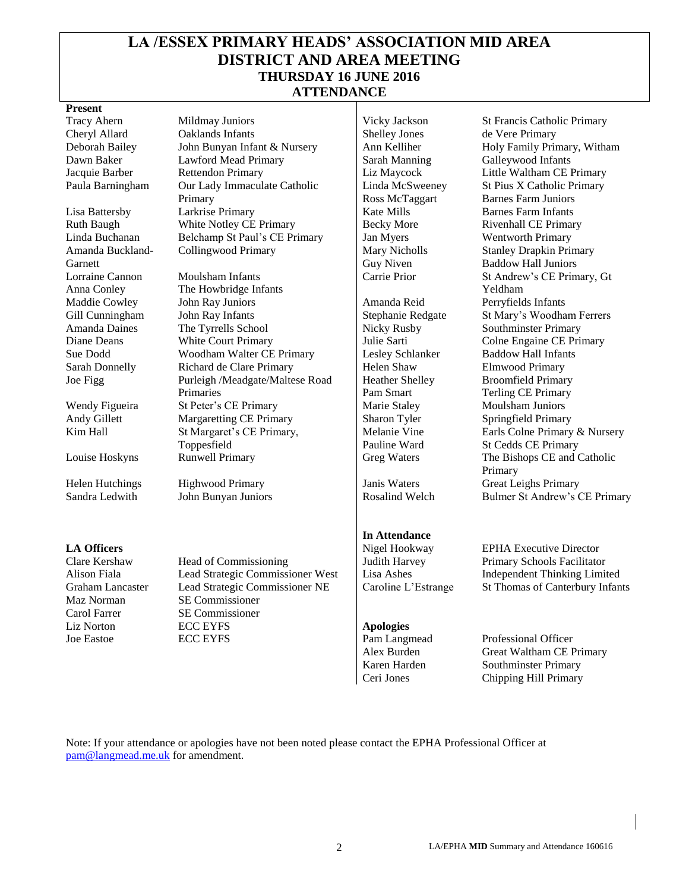# **LA /ESSEX PRIMARY HEADS' ASSOCIATION MID AREA DISTRICT AND AREA MEETING THURSDAY 16 JUNE 2016 ATTENDANCE**

#### **Present**

Amanda Buckland-Garnett Lorraine Cannon Anna Conley

Maz Norman SE Commissioner Carol Farrer SE Commissioner

Cheryl Allard Caklands Infants Shelley Jones de Vere Primary Deborah Bailey John Bunyan Infant & Nursery | Ann Kelliher Holy Family Primary, Witham Dawn Baker Lawford Mead Primary Sarah Manning Galleywood Infants Jacquie Barber Rettendon Primary Liz Maycock Little Waltham CE Primary Paula Barningham Our Lady Immaculate Catholic Primary Lisa Battersby Larkrise Primary Kate Mills Barnes Farm Infants Ruth Baugh White Notley CE Primary Becky More Rivenhall CE Primary Linda Buchanan Belchamp St Paul's CE Primary Jan Myers Wentworth Primary Collingwood Primary Mary Nicholls

Moulsham Infants The Howbridge Infants Maddie Cowley John Ray Juniors Amanda Reid Perryfields Infants Gill Cunningham John Ray Infants Stephanie Redgate St Mary's Woodham Ferrers Amanda Daines The Tyrrells School Nicky Rusby Southminster Primary<br>Diane Deans White Court Primary Julie Sarti Colne Engaine CE Pri White Court Primary Julie Sarti Colne Engaine CE Primary Sue Dodd Woodham Walter CE Primary Lesley Schlanker Baddow Hall Infants<br>
Sarah Donnelly Richard de Clare Primary Helen Shaw Elmwood Primary Richard de Clare Primary Helen Shaw Elmwood Primary Joe Figg Purleigh /Meadgate/Maltese Road Primaries Wendy Figueira St Peter's CE Primary Marie Staley Moulsham Juniors Andy Gillett Margaretting CE Primary Sharon Tyler Springfield Primary Kim Hall St Margaret's CE Primary, Toppesfield

Clare Kershaw Head of Commissioning Judith Harvey Primary Schools Facilitator Alison Fiala Lead Strategic Commissioner West Lisa Ashes Independent Thinking Limited Graham Lancaster Lead Strategic Commissioner NE Caroline L'Estrange St Thomas of Canterbury Infants Liz Norton **ECC EYFS Apologies** Joe Eastoe ECC EYFS Pam Langmead Professional Officer

Linda McSweeney Ross McTaggart Guy Niven

Heather Shelley Pam Smart Melanie Vine Pauline Ward

#### **In Attendance**

Tracy Ahern Mildmay Juniors Vicky Jackson St Francis Catholic Primary St Pius X Catholic Primary Barnes Farm Juniors Stanley Drapkin Primary Baddow Hall Juniors Carrie Prior St Andrew's CE Primary, Gt Yeldham Broomfield Primary Terling CE Primary Earls Colne Primary & Nursery St Cedds CE Primary Louise Hoskyns Runwell Primary Greg Waters The Bishops CE and Catholic Primary Helen Hutchings Highwood Primary Janis Waters Great Leighs Primary Sandra Ledwith John Bunyan Juniors Rosalind Welch Bulmer St Andrew's CE Primary

**LA Officers** EPHA Executive Director

Alex Burden Great Waltham CE Primary Karen Harden Southminster Primary Ceri Jones Chipping Hill Primary

Note: If your attendance or apologies have not been noted please contact the EPHA Professional Officer at [pam@langmead.me.uk](mailto:pam@langmead.me.uk) for amendment.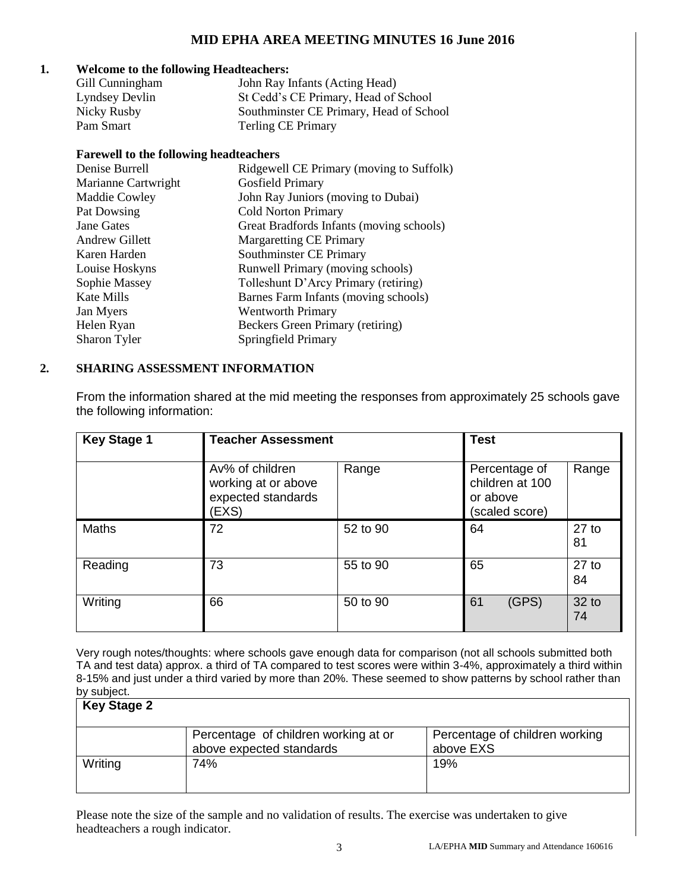# **MID EPHA AREA MEETING MINUTES 16 June 2016**

#### **1. Welcome to the following Headteachers:**

| Gill Cunningham | John Ray Infants (Acting Head)          |
|-----------------|-----------------------------------------|
| Lyndsey Devlin  | St Cedd's CE Primary, Head of School    |
| Nicky Rusby     | Southminster CE Primary, Head of School |
| Pam Smart       | <b>Terling CE Primary</b>               |

#### **Farewell to the following headteachers**

| Ridgewell CE Primary (moving to Suffolk) |
|------------------------------------------|
| Gosfield Primary                         |
| John Ray Juniors (moving to Dubai)       |
| <b>Cold Norton Primary</b>               |
| Great Bradfords Infants (moving schools) |
| <b>Margaretting CE Primary</b>           |
| Southminster CE Primary                  |
| Runwell Primary (moving schools)         |
| Tolleshunt D'Arcy Primary (retiring)     |
| Barnes Farm Infants (moving schools)     |
| <b>Wentworth Primary</b>                 |
| Beckers Green Primary (retiring)         |
| Springfield Primary                      |
|                                          |

## **2. SHARING ASSESSMENT INFORMATION**

From the information shared at the mid meeting the responses from approximately 25 schools gave the following information:

| <b>Key Stage 1</b> | <b>Teacher Assessment</b>                                             |          | <b>Test</b>                                                    |               |
|--------------------|-----------------------------------------------------------------------|----------|----------------------------------------------------------------|---------------|
|                    | Av% of children<br>working at or above<br>expected standards<br>(EXS) | Range    | Percentage of<br>children at 100<br>or above<br>(scaled score) | Range         |
| <b>Maths</b>       | 72                                                                    | 52 to 90 | 64                                                             | $27$ to<br>81 |
| Reading            | 73                                                                    | 55 to 90 | 65                                                             | $27$ to<br>84 |
| Writing            | 66                                                                    | 50 to 90 | 61<br>(GPS)                                                    | 32 to<br>74   |

Very rough notes/thoughts: where schools gave enough data for comparison (not all schools submitted both TA and test data) approx. a third of TA compared to test scores were within 3-4%, approximately a third within 8-15% and just under a third varied by more than 20%. These seemed to show patterns by school rather than by subject.

| <b>Key Stage 2</b> |                                                                  |                                             |
|--------------------|------------------------------------------------------------------|---------------------------------------------|
|                    | Percentage of children working at or<br>above expected standards | Percentage of children working<br>above EXS |
| Writing            | 74%                                                              | 19%                                         |

Please note the size of the sample and no validation of results. The exercise was undertaken to give headteachers a rough indicator.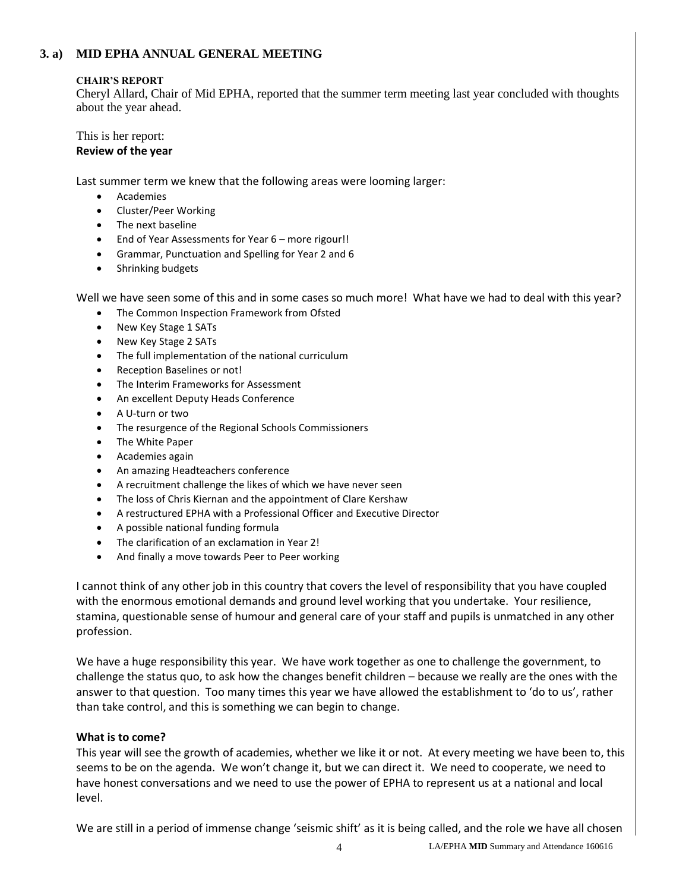## **3. a) MID EPHA ANNUAL GENERAL MEETING**

#### **CHAIR'S REPORT**

Cheryl Allard, Chair of Mid EPHA, reported that the summer term meeting last year concluded with thoughts about the year ahead.

This is her report: **Review of the year**

Last summer term we knew that the following areas were looming larger:

- Academies
- Cluster/Peer Working
- The next baseline
- End of Year Assessments for Year 6 more rigour!!
- Grammar, Punctuation and Spelling for Year 2 and 6
- Shrinking budgets

Well we have seen some of this and in some cases so much more! What have we had to deal with this year?

- The Common Inspection Framework from Ofsted
- New Key Stage 1 SATs
- New Key Stage 2 SATs
- The full implementation of the national curriculum
- Reception Baselines or not!
- The Interim Frameworks for Assessment
- An excellent Deputy Heads Conference
- A U-turn or two
- The resurgence of the Regional Schools Commissioners
- The White Paper
- Academies again
- An amazing Headteachers conference
- A recruitment challenge the likes of which we have never seen
- The loss of Chris Kiernan and the appointment of Clare Kershaw
- A restructured EPHA with a Professional Officer and Executive Director
- A possible national funding formula
- The clarification of an exclamation in Year 2!
- And finally a move towards Peer to Peer working

I cannot think of any other job in this country that covers the level of responsibility that you have coupled with the enormous emotional demands and ground level working that you undertake. Your resilience, stamina, questionable sense of humour and general care of your staff and pupils is unmatched in any other profession.

We have a huge responsibility this year. We have work together as one to challenge the government, to challenge the status quo, to ask how the changes benefit children – because we really are the ones with the answer to that question. Too many times this year we have allowed the establishment to 'do to us', rather than take control, and this is something we can begin to change.

#### **What is to come?**

This year will see the growth of academies, whether we like it or not. At every meeting we have been to, this seems to be on the agenda. We won't change it, but we can direct it. We need to cooperate, we need to have honest conversations and we need to use the power of EPHA to represent us at a national and local level.

We are still in a period of immense change 'seismic shift' as it is being called, and the role we have all chosen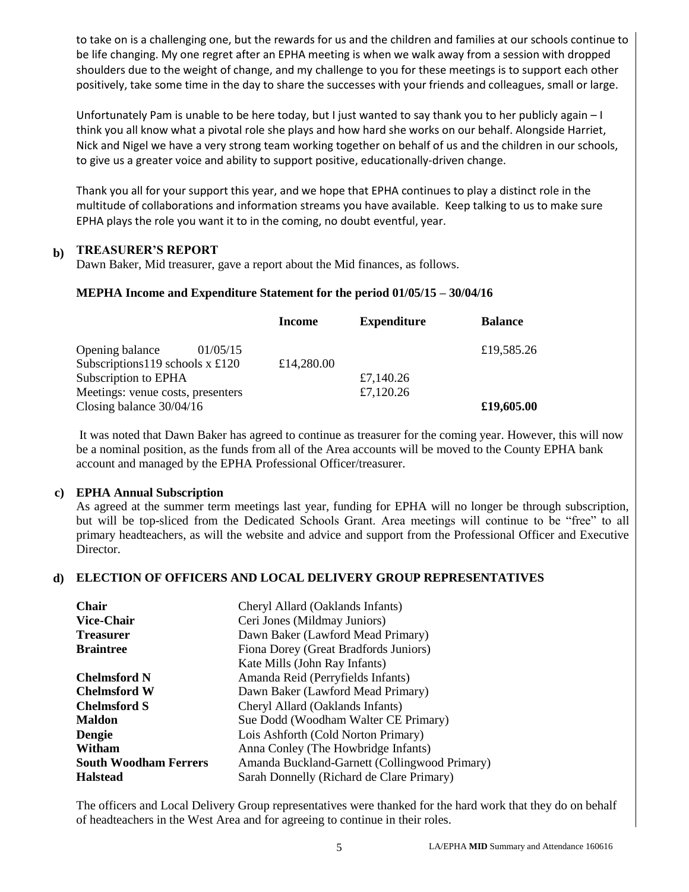to take on is a challenging one, but the rewards for us and the children and families at our schools continue to be life changing. My one regret after an EPHA meeting is when we walk away from a session with dropped shoulders due to the weight of change, and my challenge to you for these meetings is to support each other positively, take some time in the day to share the successes with your friends and colleagues, small or large.

Unfortunately Pam is unable to be here today, but I just wanted to say thank you to her publicly again – I think you all know what a pivotal role she plays and how hard she works on our behalf. Alongside Harriet, Nick and Nigel we have a very strong team working together on behalf of us and the children in our schools, to give us a greater voice and ability to support positive, educationally-driven change.

Thank you all for your support this year, and we hope that EPHA continues to play a distinct role in the multitude of collaborations and information streams you have available. Keep talking to us to make sure EPHA plays the role you want it to in the coming, no doubt eventful, year.

# **b) TREASURER'S REPORT**

Dawn Baker, Mid treasurer, gave a report about the Mid finances, as follows.

#### **MEPHA Income and Expenditure Statement for the period 01/05/15 – 30/04/16**

|                                           | Income     | <b>Expenditure</b> | <b>Balance</b> |
|-------------------------------------------|------------|--------------------|----------------|
| Opening balance<br>01/05/15               |            |                    | £19,585.26     |
| Subscriptions 119 schools $x \pounds 120$ | £14,280.00 |                    |                |
| Subscription to EPHA                      |            | £7,140.26          |                |
| Meetings: venue costs, presenters         |            | £7,120.26          |                |
| Closing balance $30/04/16$                |            |                    | £19,605.00     |

It was noted that Dawn Baker has agreed to continue as treasurer for the coming year. However, this will now be a nominal position, as the funds from all of the Area accounts will be moved to the County EPHA bank account and managed by the EPHA Professional Officer/treasurer.

#### **c) EPHA Annual Subscription**

As agreed at the summer term meetings last year, funding for EPHA will no longer be through subscription, but will be top-sliced from the Dedicated Schools Grant. Area meetings will continue to be "free" to all primary headteachers, as will the website and advice and support from the Professional Officer and Executive Director.

#### **d) ELECTION OF OFFICERS AND LOCAL DELIVERY GROUP REPRESENTATIVES**

| <b>Chair</b>                 | Cheryl Allard (Oaklands Infants)              |
|------------------------------|-----------------------------------------------|
| <b>Vice-Chair</b>            | Ceri Jones (Mildmay Juniors)                  |
| <b>Treasurer</b>             | Dawn Baker (Lawford Mead Primary)             |
| <b>Braintree</b>             | Fiona Dorey (Great Bradfords Juniors)         |
|                              | Kate Mills (John Ray Infants)                 |
| <b>Chelmsford N</b>          | Amanda Reid (Perryfields Infants)             |
| <b>Chelmsford W</b>          | Dawn Baker (Lawford Mead Primary)             |
| <b>Chelmsford S</b>          | Cheryl Allard (Oaklands Infants)              |
| <b>Maldon</b>                | Sue Dodd (Woodham Walter CE Primary)          |
| <b>Dengie</b>                | Lois Ashforth (Cold Norton Primary)           |
| Witham                       | Anna Conley (The Howbridge Infants)           |
| <b>South Woodham Ferrers</b> | Amanda Buckland-Garnett (Collingwood Primary) |
| <b>Halstead</b>              | Sarah Donnelly (Richard de Clare Primary)     |

The officers and Local Delivery Group representatives were thanked for the hard work that they do on behalf of headteachers in the West Area and for agreeing to continue in their roles.